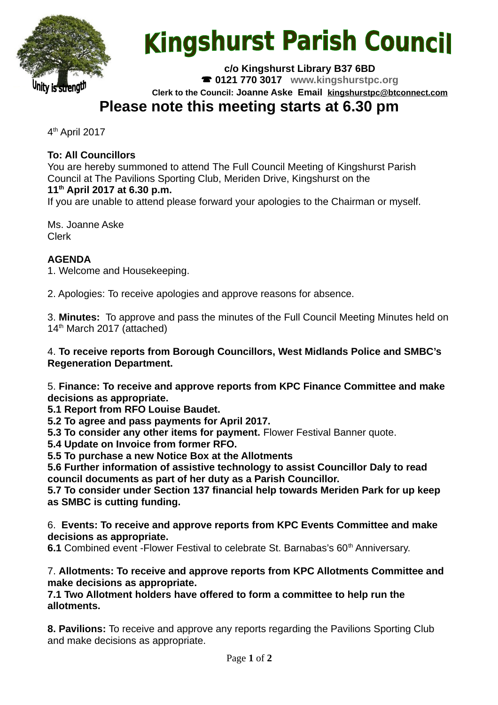

# **Kingshurst Parish Council**

**c/o Kingshurst Library B37 6BD 0121 770 3017 www.kingshurstpc.org**

**Clerk to the Council: Joanne Aske Email [kingshurstpc@btconnect.com](mailto:kingshurstpc@btconnect.com)**

# **Please note this meeting starts at 6.30 pm**

4 th April 2017

## **To: All Councillors**

You are hereby summoned to attend The Full Council Meeting of Kingshurst Parish Council at The Pavilions Sporting Club, Meriden Drive, Kingshurst on the **11th April 2017 at 6.30 p.m.**

If you are unable to attend please forward your apologies to the Chairman or myself.

Ms. Joanne Aske Clerk

### **AGENDA**

1. Welcome and Housekeeping.

2. Apologies: To receive apologies and approve reasons for absence.

3. **Minutes:** To approve and pass the minutes of the Full Council Meeting Minutes held on 14<sup>th</sup> March 2017 (attached)

4. **To receive reports from Borough Councillors, West Midlands Police and SMBC's Regeneration Department.**

5. **Finance: To receive and approve reports from KPC Finance Committee and make decisions as appropriate.**

**5.1 Report from RFO Louise Baudet.**

**5.2 To agree and pass payments for April 2017.**

**5.3 To consider any other items for payment.** Flower Festival Banner quote.

**5.4 Update on Invoice from former RFO.**

**5.5 To purchase a new Notice Box at the Allotments**

**5.6 Further information of assistive technology to assist Councillor Daly to read council documents as part of her duty as a Parish Councillor.**

**5.7 To consider under Section 137 financial help towards Meriden Park for up keep as SMBC is cutting funding.**

6. **Events: To receive and approve reports from KPC Events Committee and make decisions as appropriate.**

**6.1** Combined event -Flower Festival to celebrate St. Barnabas's 60<sup>th</sup> Anniversary.

7. **Allotments: To receive and approve reports from KPC Allotments Committee and make decisions as appropriate.**

**7.1 Two Allotment holders have offered to form a committee to help run the allotments.**

**8. Pavilions:** To receive and approve any reports regarding the Pavilions Sporting Club and make decisions as appropriate.